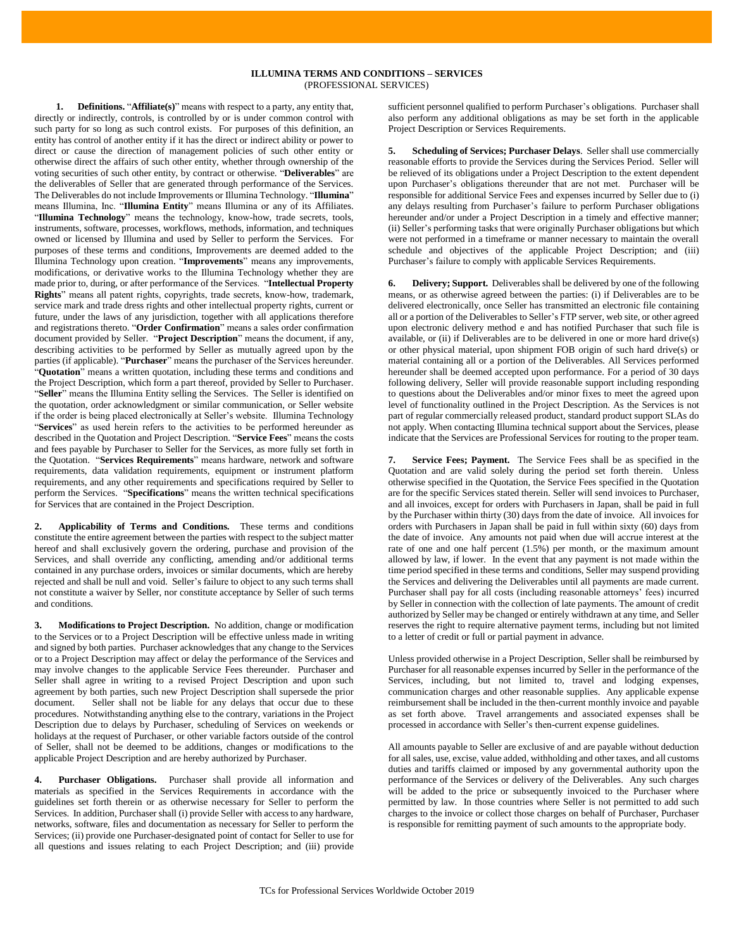## **ILLUMINA TERMS AND CONDITIONS – SERVICES** (PROFESSIONAL SERVICES)

**1. Definitions.** "**Affiliate(s)**" means with respect to a party, any entity that, directly or indirectly, controls, is controlled by or is under common control with such party for so long as such control exists. For purposes of this definition, an entity has control of another entity if it has the direct or indirect ability or power to direct or cause the direction of management policies of such other entity or otherwise direct the affairs of such other entity, whether through ownership of the voting securities of such other entity, by contract or otherwise. "**Deliverables**" are the deliverables of Seller that are generated through performance of the Services. The Deliverables do not include Improvements or Illumina Technology. "**Illumina**" means Illumina, Inc. "**Illumina Entity**" means Illumina or any of its Affiliates. "**Illumina Technology**" means the technology, know-how, trade secrets, tools, instruments, software, processes, workflows, methods, information, and techniques owned or licensed by Illumina and used by Seller to perform the Services. For purposes of these terms and conditions, Improvements are deemed added to the Illumina Technology upon creation. "**Improvements**" means any improvements, modifications, or derivative works to the Illumina Technology whether they are made prior to, during, or after performance of the Services. "**Intellectual Property Rights**" means all patent rights, copyrights, trade secrets, know-how, trademark, service mark and trade dress rights and other intellectual property rights, current or future, under the laws of any jurisdiction, together with all applications therefore and registrations thereto. "**Order Confirmation**" means a sales order confirmation document provided by Seller. "**Project Description**" means the document, if any, describing activities to be performed by Seller as mutually agreed upon by the parties (if applicable). "**Purchaser**" means the purchaser of the Services hereunder. "**Quotation**" means a written quotation, including these terms and conditions and the Project Description, which form a part thereof, provided by Seller to Purchaser. "**Seller**" means the Illumina Entity selling the Services. The Seller is identified on the quotation, order acknowledgment or similar communication, or Seller website if the order is being placed electronically at Seller's website. Illumina Technology "**Services**" as used herein refers to the activities to be performed hereunder as described in the Quotation and Project Description. "**Service Fees**" means the costs and fees payable by Purchaser to Seller for the Services, as more fully set forth in the Quotation. "**Services Requirements**" means hardware, network and software requirements, data validation requirements, equipment or instrument platform requirements, and any other requirements and specifications required by Seller to perform the Services. "**Specifications**" means the written technical specifications for Services that are contained in the Project Description.

**2. Applicability of Terms and Conditions.** These terms and conditions constitute the entire agreement between the parties with respect to the subject matter hereof and shall exclusively govern the ordering, purchase and provision of the Services, and shall override any conflicting, amending and/or additional terms contained in any purchase orders, invoices or similar documents, which are hereby rejected and shall be null and void. Seller's failure to object to any such terms shall not constitute a waiver by Seller, nor constitute acceptance by Seller of such terms and conditions.

**3. Modifications to Project Description.** No addition, change or modification to the Services or to a Project Description will be effective unless made in writing and signed by both parties. Purchaser acknowledges that any change to the Services or to a Project Description may affect or delay the performance of the Services and may involve changes to the applicable Service Fees thereunder. Purchaser and Seller shall agree in writing to a revised Project Description and upon such agreement by both parties, such new Project Description shall supersede the prior document. Seller shall not be liable for any delays that occur due to these procedures. Notwithstanding anything else to the contrary, variations in the Project Description due to delays by Purchaser, scheduling of Services on weekends or holidays at the request of Purchaser, or other variable factors outside of the control of Seller, shall not be deemed to be additions, changes or modifications to the applicable Project Description and are hereby authorized by Purchaser.

**4. Purchaser Obligations.** Purchaser shall provide all information and materials as specified in the Services Requirements in accordance with the guidelines set forth therein or as otherwise necessary for Seller to perform the Services. In addition, Purchaser shall (i) provide Seller with access to any hardware, networks, software, files and documentation as necessary for Seller to perform the Services; (ii) provide one Purchaser-designated point of contact for Seller to use for all questions and issues relating to each Project Description; and (iii) provide

sufficient personnel qualified to perform Purchaser's obligations. Purchaser shall also perform any additional obligations as may be set forth in the applicable Project Description or Services Requirements.

**5. Scheduling of Services; Purchaser Delays**. Seller shall use commercially reasonable efforts to provide the Services during the Services Period. Seller will be relieved of its obligations under a Project Description to the extent dependent upon Purchaser's obligations thereunder that are not met. Purchaser will be responsible for additional Service Fees and expenses incurred by Seller due to (i) any delays resulting from Purchaser's failure to perform Purchaser obligations hereunder and/or under a Project Description in a timely and effective manner; (ii) Seller's performing tasks that were originally Purchaser obligations but which were not performed in a timeframe or manner necessary to maintain the overall schedule and objectives of the applicable Project Description; and (iii) Purchaser's failure to comply with applicable Services Requirements.

**6. Delivery; Support.** Deliverables shall be delivered by one of the following means, or as otherwise agreed between the parties: (i) if Deliverables are to be delivered electronically, once Seller has transmitted an electronic file containing all or a portion of the Deliverables to Seller's FTP server, web site, or other agreed upon electronic delivery method e and has notified Purchaser that such file is available, or (ii) if Deliverables are to be delivered in one or more hard drive(s) or other physical material, upon shipment FOB origin of such hard drive(s) or material containing all or a portion of the Deliverables. All Services performed hereunder shall be deemed accepted upon performance. For a period of 30 days following delivery, Seller will provide reasonable support including responding to questions about the Deliverables and/or minor fixes to meet the agreed upon level of functionality outlined in the Project Description. As the Services is not part of regular commercially released product, standard product support SLAs do not apply. When contacting Illumina technical support about the Services, please indicate that the Services are Professional Services for routing to the proper team.

**Service Fees; Payment.** The Service Fees shall be as specified in the Quotation and are valid solely during the period set forth therein. Unless otherwise specified in the Quotation, the Service Fees specified in the Quotation are for the specific Services stated therein. Seller will send invoices to Purchaser, and all invoices, except for orders with Purchasers in Japan, shall be paid in full by the Purchaser within thirty (30) days from the date of invoice. All invoices for orders with Purchasers in Japan shall be paid in full within sixty (60) days from the date of invoice. Any amounts not paid when due will accrue interest at the rate of one and one half percent  $(1.5\%)$  per month, or the maximum amount allowed by law, if lower. In the event that any payment is not made within the time period specified in these terms and conditions, Seller may suspend providing the Services and delivering the Deliverables until all payments are made current. Purchaser shall pay for all costs (including reasonable attorneys' fees) incurred by Seller in connection with the collection of late payments. The amount of credit authorized by Seller may be changed or entirely withdrawn at any time, and Seller reserves the right to require alternative payment terms, including but not limited to a letter of credit or full or partial payment in advance.

Unless provided otherwise in a Project Description, Seller shall be reimbursed by Purchaser for all reasonable expenses incurred by Seller in the performance of the Services, including, but not limited to, travel and lodging expenses, communication charges and other reasonable supplies. Any applicable expense reimbursement shall be included in the then-current monthly invoice and payable as set forth above. Travel arrangements and associated expenses shall be processed in accordance with Seller's then-current expense guidelines.

All amounts payable to Seller are exclusive of and are payable without deduction for all sales, use, excise, value added, withholding and other taxes, and all customs duties and tariffs claimed or imposed by any governmental authority upon the performance of the Services or delivery of the Deliverables. Any such charges will be added to the price or subsequently invoiced to the Purchaser where permitted by law. In those countries where Seller is not permitted to add such charges to the invoice or collect those charges on behalf of Purchaser, Purchaser is responsible for remitting payment of such amounts to the appropriate body.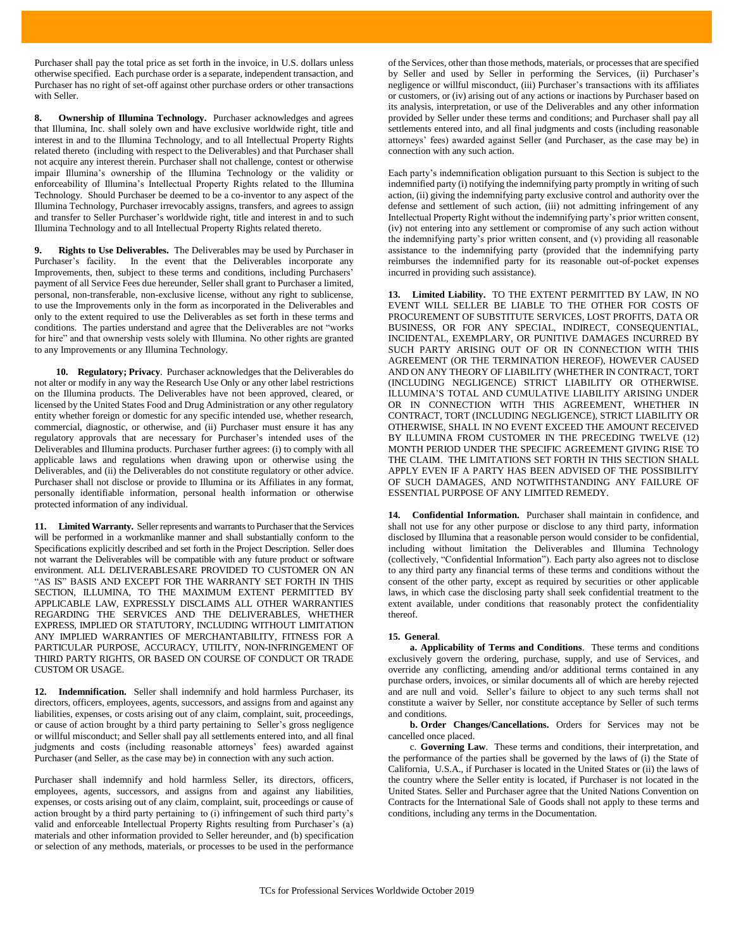Purchaser shall pay the total price as set forth in the invoice, in U.S. dollars unless otherwise specified. Each purchase order is a separate, independent transaction, and Purchaser has no right of set-off against other purchase orders or other transactions with Seller.

**8. Ownership of Illumina Technology.** Purchaser acknowledges and agrees that Illumina, Inc. shall solely own and have exclusive worldwide right, title and interest in and to the Illumina Technology, and to all Intellectual Property Rights related thereto (including with respect to the Deliverables) and that Purchaser shall not acquire any interest therein. Purchaser shall not challenge, contest or otherwise impair Illumina's ownership of the Illumina Technology or the validity or enforceability of Illumina's Intellectual Property Rights related to the Illumina Technology. Should Purchaser be deemed to be a co-inventor to any aspect of the Illumina Technology, Purchaser irrevocably assigns, transfers, and agrees to assign and transfer to Seller Purchaser's worldwide right, title and interest in and to such Illumina Technology and to all Intellectual Property Rights related thereto.

**9. Rights to Use Deliverables.** The Deliverables may be used by Purchaser in Purchaser's facility. In the event that the Deliverables incorporate any Improvements, then, subject to these terms and conditions, including Purchasers' payment of all Service Fees due hereunder, Seller shall grant to Purchaser a limited, personal, non-transferable, non-exclusive license, without any right to sublicense, to use the Improvements only in the form as incorporated in the Deliverables and only to the extent required to use the Deliverables as set forth in these terms and conditions. The parties understand and agree that the Deliverables are not "works for hire" and that ownership vests solely with Illumina. No other rights are granted to any Improvements or any Illumina Technology.

**10. Regulatory; Privacy**. Purchaser acknowledges that the Deliverables do not alter or modify in any way the Research Use Only or any other label restrictions on the Illumina products. The Deliverables have not been approved, cleared, or licensed by the United States Food and Drug Administration or any other regulatory entity whether foreign or domestic for any specific intended use, whether research, commercial, diagnostic, or otherwise, and (ii) Purchaser must ensure it has any regulatory approvals that are necessary for Purchaser's intended uses of the Deliverables and Illumina products. Purchaser further agrees: (i) to comply with all applicable laws and regulations when drawing upon or otherwise using the Deliverables, and (ii) the Deliverables do not constitute regulatory or other advice. Purchaser shall not disclose or provide to Illumina or its Affiliates in any format, personally identifiable information, personal health information or otherwise protected information of any individual.

**11. Limited Warranty.** Seller represents and warrants to Purchaserthat the Services will be performed in a workmanlike manner and shall substantially conform to the Specifications explicitly described and set forth in the Project Description. Seller does not warrant the Deliverables will be compatible with any future product or software environment. ALL DELIVERABLESARE PROVIDED TO CUSTOMER ON AN "AS IS" BASIS AND EXCEPT FOR THE WARRANTY SET FORTH IN THIS SECTION, ILLUMINA, TO THE MAXIMUM EXTENT PERMITTED BY APPLICABLE LAW, EXPRESSLY DISCLAIMS ALL OTHER WARRANTIES REGARDING THE SERVICES AND THE DELIVERABLES, WHETHER EXPRESS, IMPLIED OR STATUTORY, INCLUDING WITHOUT LIMITATION ANY IMPLIED WARRANTIES OF MERCHANTABILITY, FITNESS FOR A PARTICULAR PURPOSE, ACCURACY, UTILITY, NON-INFRINGEMENT OF THIRD PARTY RIGHTS, OR BASED ON COURSE OF CONDUCT OR TRADE CUSTOM OR USAGE.

**12. Indemnification.** Seller shall indemnify and hold harmless Purchaser, its directors, officers, employees, agents, successors, and assigns from and against any liabilities, expenses, or costs arising out of any claim, complaint, suit, proceedings, or cause of action brought by a third party pertaining to Seller's gross negligence or willful misconduct; and Seller shall pay all settlements entered into, and all final judgments and costs (including reasonable attorneys' fees) awarded against Purchaser (and Seller, as the case may be) in connection with any such action.

Purchaser shall indemnify and hold harmless Seller, its directors, officers, employees, agents, successors, and assigns from and against any liabilities, expenses, or costs arising out of any claim, complaint, suit, proceedings or cause of action brought by a third party pertaining to (i) infringement of such third party's valid and enforceable Intellectual Property Rights resulting from Purchaser's (a) materials and other information provided to Seller hereunder, and (b) specification or selection of any methods, materials, or processes to be used in the performance

of the Services, other than those methods, materials, or processes that are specified by Seller and used by Seller in performing the Services, (ii) Purchaser's negligence or willful misconduct, (iii) Purchaser's transactions with its affiliates or customers, or (iv) arising out of any actions or inactions by Purchaser based on its analysis, interpretation, or use of the Deliverables and any other information provided by Seller under these terms and conditions; and Purchaser shall pay all settlements entered into, and all final judgments and costs (including reasonable attorneys' fees) awarded against Seller (and Purchaser, as the case may be) in connection with any such action.

Each party's indemnification obligation pursuant to this Section is subject to the indemnified party (i) notifying the indemnifying party promptly in writing of such action, (ii) giving the indemnifying party exclusive control and authority over the defense and settlement of such action, (iii) not admitting infringement of any Intellectual Property Right without the indemnifying party's prior written consent, (iv) not entering into any settlement or compromise of any such action without the indemnifying party's prior written consent, and (v) providing all reasonable assistance to the indemnifying party (provided that the indemnifying party reimburses the indemnified party for its reasonable out-of-pocket expenses incurred in providing such assistance).

**13. Limited Liability.** TO THE EXTENT PERMITTED BY LAW, IN NO EVENT WILL SELLER BE LIABLE TO THE OTHER FOR COSTS OF PROCUREMENT OF SUBSTITUTE SERVICES, LOST PROFITS, DATA OR BUSINESS, OR FOR ANY SPECIAL, INDIRECT, CONSEQUENTIAL, INCIDENTAL, EXEMPLARY, OR PUNITIVE DAMAGES INCURRED BY SUCH PARTY ARISING OUT OF OR IN CONNECTION WITH THIS AGREEMENT (OR THE TERMINATION HEREOF), HOWEVER CAUSED AND ON ANY THEORY OF LIABILITY (WHETHER IN CONTRACT, TORT (INCLUDING NEGLIGENCE) STRICT LIABILITY OR OTHERWISE. ILLUMINA'S TOTAL AND CUMULATIVE LIABILITY ARISING UNDER OR IN CONNECTION WITH THIS AGREEMENT, WHETHER IN CONTRACT, TORT (INCLUDING NEGLIGENCE), STRICT LIABILITY OR OTHERWISE, SHALL IN NO EVENT EXCEED THE AMOUNT RECEIVED BY ILLUMINA FROM CUSTOMER IN THE PRECEDING TWELVE (12) MONTH PERIOD UNDER THE SPECIFIC AGREEMENT GIVING RISE TO THE CLAIM. THE LIMITATIONS SET FORTH IN THIS SECTION SHALL APPLY EVEN IF A PARTY HAS BEEN ADVISED OF THE POSSIBILITY OF SUCH DAMAGES, AND NOTWITHSTANDING ANY FAILURE OF ESSENTIAL PURPOSE OF ANY LIMITED REMEDY.

**14. Confidential Information.** Purchaser shall maintain in confidence, and shall not use for any other purpose or disclose to any third party, information disclosed by Illumina that a reasonable person would consider to be confidential, including without limitation the Deliverables and Illumina Technology (collectively, "Confidential Information"). Each party also agrees not to disclose to any third party any financial terms of these terms and conditions without the consent of the other party, except as required by securities or other applicable laws, in which case the disclosing party shall seek confidential treatment to the extent available, under conditions that reasonably protect the confidentiality thereof.

## **15. General**.

**a. Applicability of Terms and Conditions**.These terms and conditions exclusively govern the ordering, purchase, supply, and use of Services, and override any conflicting, amending and/or additional terms contained in any purchase orders, invoices, or similar documents all of which are hereby rejected and are null and void. Seller's failure to object to any such terms shall not constitute a waiver by Seller, nor constitute acceptance by Seller of such terms and conditions.

**b. Order Changes/Cancellations.** Orders for Services may not be cancelled once placed.

c. **Governing Law**. These terms and conditions, their interpretation, and the performance of the parties shall be governed by the laws of (i) the State of California, U.S.A., if Purchaser is located in the United States or (ii) the laws of the country where the Seller entity is located, if Purchaser is not located in the United States. Seller and Purchaser agree that the United Nations Convention on Contracts for the International Sale of Goods shall not apply to these terms and conditions, including any terms in the Documentation.